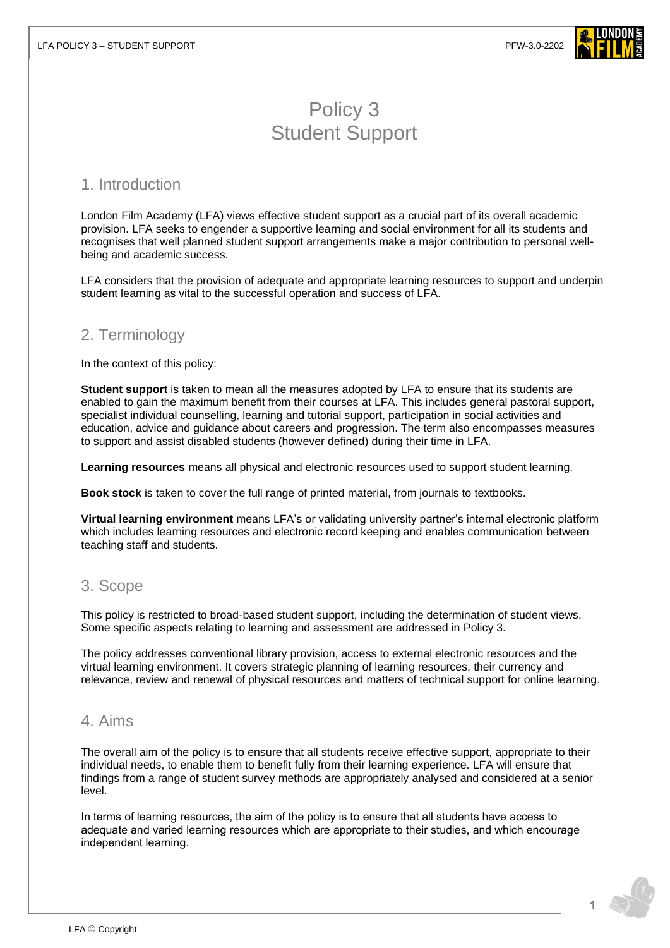

# Policy 3 Student Support

## 1. Introduction

London Film Academy (LFA) views effective student support as a crucial part of its overall academic provision. LFA seeks to engender a supportive learning and social environment for all its students and recognises that well planned student support arrangements make a major contribution to personal wellbeing and academic success.

LFA considers that the provision of adequate and appropriate learning resources to support and underpin student learning as vital to the successful operation and success of LFA.

# 2. Terminology

In the context of this policy:

**Student support** is taken to mean all the measures adopted by LFA to ensure that its students are enabled to gain the maximum benefit from their courses at LFA. This includes general pastoral support, specialist individual counselling, learning and tutorial support, participation in social activities and education, advice and guidance about careers and progression. The term also encompasses measures to support and assist disabled students (however defined) during their time in LFA.

**Learning resources** means all physical and electronic resources used to support student learning.

**Book stock** is taken to cover the full range of printed material, from journals to textbooks.

**Virtual learning environment** means LFA's or validating university partner's internal electronic platform which includes learning resources and electronic record keeping and enables communication between teaching staff and students.

## 3. Scope

This policy is restricted to broad-based student support, including the determination of student views. Some specific aspects relating to learning and assessment are addressed in Policy 3.

The policy addresses conventional library provision, access to external electronic resources and the virtual learning environment. It covers strategic planning of learning resources, their currency and relevance, review and renewal of physical resources and matters of technical support for online learning.

### 4. Aims

The overall aim of the policy is to ensure that all students receive effective support, appropriate to their individual needs, to enable them to benefit fully from their learning experience. LFA will ensure that findings from a range of student survey methods are appropriately analysed and considered at a senior level.

In terms of learning resources, the aim of the policy is to ensure that all students have access to adequate and varied learning resources which are appropriate to their studies, and which encourage independent learning.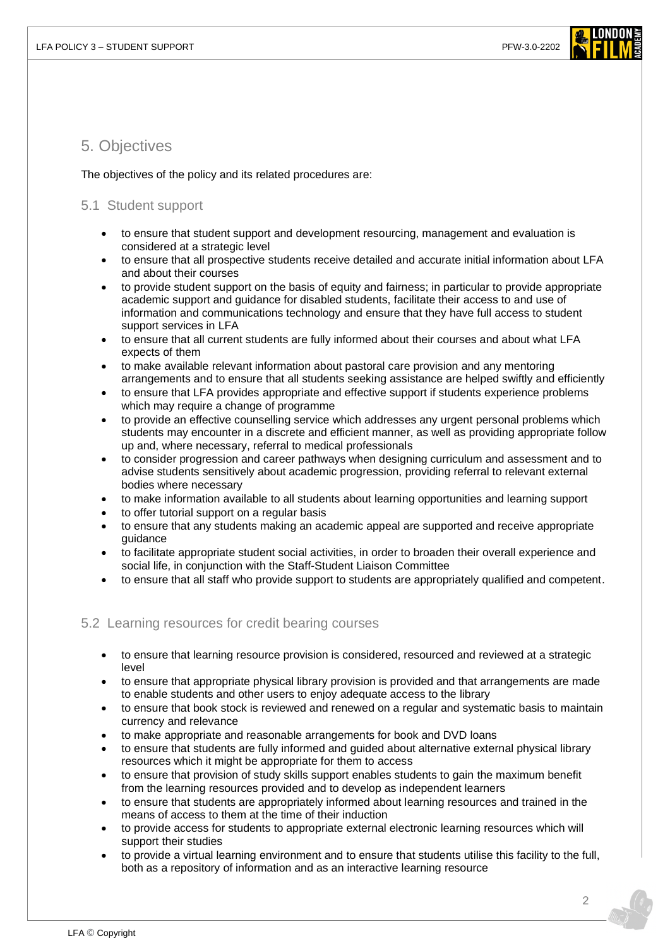

## 5. Objectives

The objectives of the policy and its related procedures are:

#### 5.1 Student support

- to ensure that student support and development resourcing, management and evaluation is considered at a strategic level
- to ensure that all prospective students receive detailed and accurate initial information about LFA and about their courses
- to provide student support on the basis of equity and fairness; in particular to provide appropriate academic support and guidance for disabled students, facilitate their access to and use of information and communications technology and ensure that they have full access to student support services in LFA
- to ensure that all current students are fully informed about their courses and about what LFA expects of them
- to make available relevant information about pastoral care provision and any mentoring arrangements and to ensure that all students seeking assistance are helped swiftly and efficiently
- to ensure that LFA provides appropriate and effective support if students experience problems which may require a change of programme
- to provide an effective counselling service which addresses any urgent personal problems which students may encounter in a discrete and efficient manner, as well as providing appropriate follow up and, where necessary, referral to medical professionals
- to consider progression and career pathways when designing curriculum and assessment and to advise students sensitively about academic progression, providing referral to relevant external bodies where necessary
- to make information available to all students about learning opportunities and learning support
- to offer tutorial support on a regular basis
- to ensure that any students making an academic appeal are supported and receive appropriate guidance
- to facilitate appropriate student social activities, in order to broaden their overall experience and social life, in conjunction with the Staff-Student Liaison Committee
- to ensure that all staff who provide support to students are appropriately qualified and competent.

#### 5.2 Learning resources for credit bearing courses

- to ensure that learning resource provision is considered, resourced and reviewed at a strategic level
- to ensure that appropriate physical library provision is provided and that arrangements are made to enable students and other users to enjoy adequate access to the library
- to ensure that book stock is reviewed and renewed on a regular and systematic basis to maintain currency and relevance
- to make appropriate and reasonable arrangements for book and DVD loans
- to ensure that students are fully informed and guided about alternative external physical library resources which it might be appropriate for them to access
- to ensure that provision of study skills support enables students to gain the maximum benefit from the learning resources provided and to develop as independent learners
- to ensure that students are appropriately informed about learning resources and trained in the means of access to them at the time of their induction
- to provide access for students to appropriate external electronic learning resources which will support their studies
- to provide a virtual learning environment and to ensure that students utilise this facility to the full, both as a repository of information and as an interactive learning resource